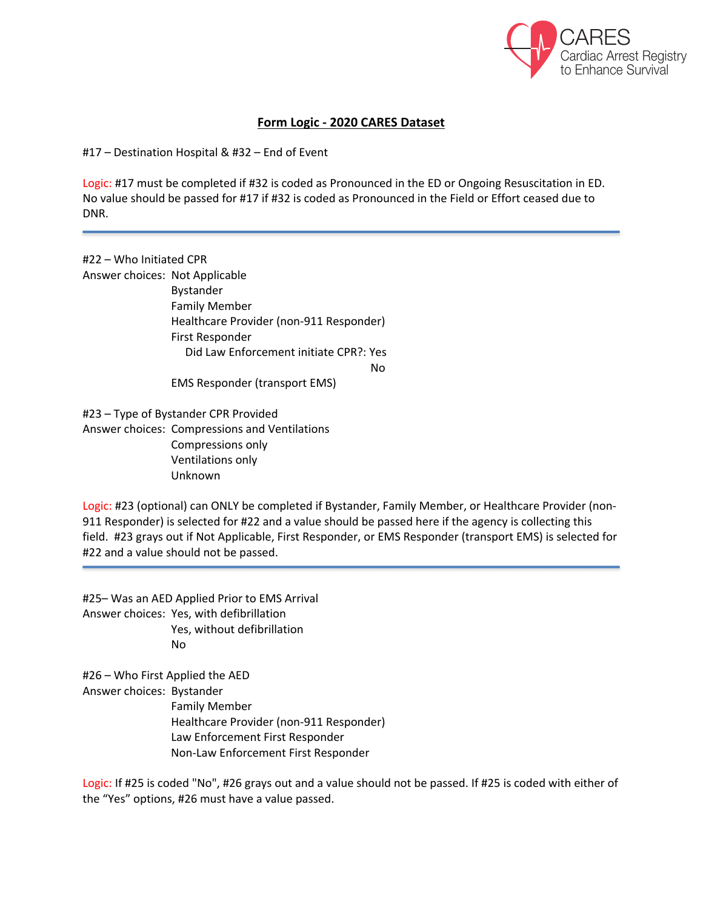

## **Form Logic - 2020 CARES Dataset**

#17 – Destination Hospital & #32 – End of Event

Logic: #17 must be completed if #32 is coded as Pronounced in the ED or Ongoing Resuscitation in ED. No value should be passed for #17 if #32 is coded as Pronounced in the Field or Effort ceased due to DNR.

#22 – Who Initiated CPR Answer choices: Not Applicable Bystander Family Member Healthcare Provider (non-911 Responder) First Responder Did Law Enforcement initiate CPR?: Yes No EMS Responder (transport EMS)

#23 – Type of Bystander CPR Provided Answer choices: Compressions and Ventilations Compressions only Ventilations only Unknown

Logic: #23 (optional) can ONLY be completed if Bystander, Family Member, or Healthcare Provider (non-911 Responder) is selected for #22 and a value should be passed here if the agency is collecting this field. #23 grays out if Not Applicable, First Responder, or EMS Responder (transport EMS) is selected for #22 and a value should not be passed.

#25– Was an AED Applied Prior to EMS Arrival Answer choices: Yes, with defibrillation Yes, without defibrillation No

#26 – Who First Applied the AED Answer choices: Bystander Family Member Healthcare Provider (non-911 Responder) Law Enforcement First Responder Non-Law Enforcement First Responder

Logic: If #25 is coded "No", #26 grays out and a value should not be passed. If #25 is coded with either of the "Yes" options, #26 must have a value passed.